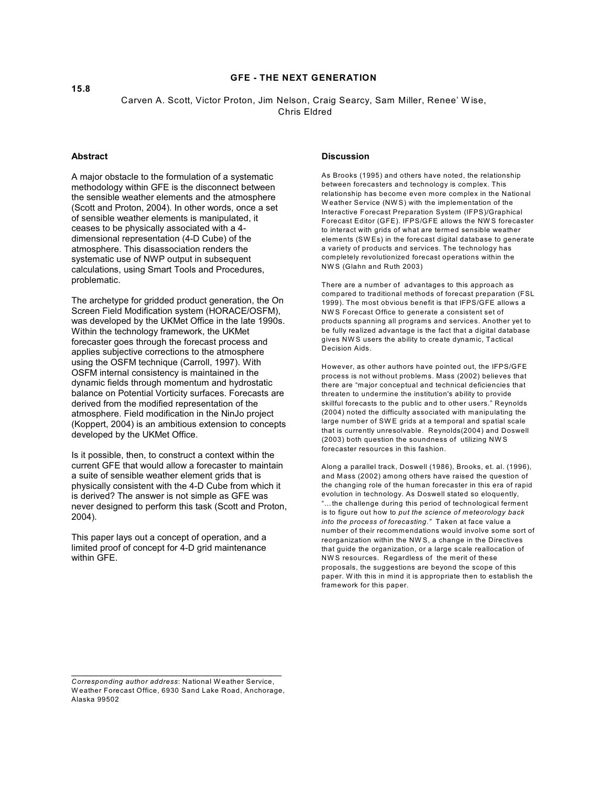# **GFE - THE NEXT GENERATION**

Carven A. Scott, Victor Proton, Jim Nelson, Craig Searcy, Sam Miller, Renee' W ise, Chris Eldred

### **Abstract**

A major obstacle to the formulation of a systematic methodology within GFE is the disconnect between the sensible weather elements and the atmosphere (Scott and Proton, 2004). In other words, once a set of sensible weather elements is manipulated, it ceases to be physically associated with a 4 dimensional representation (4-D Cube) of the atmosphere. This disassociation renders the systematic use of NWP output in subsequent calculations, using Smart Tools and Procedures, problematic.

The archetype for gridded product generation, the On Screen Field Modification system (HORACE/OSFM), was developed by the UKMet Office in the late 1990s. Within the technology framework, the UKMet forecaster goes through the forecast process and applies subjective corrections to the atmosphere using the OSFM technique (Carroll, 1997). With OSFM internal consistency is maintained in the dynamic fields through momentum and hydrostatic balance on Potential Vorticity surfaces. Forecasts are derived from the modified representation of the atmosphere. Field modification in the NinJo project (Koppert, 2004) is an ambitious extension to concepts developed by the UKMet Office.

Is it possible, then, to construct a context within the current GFE that would allow a forecaster to maintain a suite of sensible weather element grids that is physically consistent with the 4-D Cube from which it is derived? The answer is not simple as GFE was never designed to perform this task (Scott and Proton, 2004).

This paper lays out a concept of operation, and a limited proof of concept for 4-D grid maintenance within GFE.

#### **Discussion**

As Brooks (1995) and others have noted, the relationship between forecasters and technology is complex. This relationship has become even more complex in the National W eather Service (NW S) with the implementation of the Interactive Forecast Preparation System (IFPS)/Graphical Forecast Editor (GFE). IFPS/GFE allows the NW S forecaster to interact with grids of what are termed sensible weather elements (SW Es) in the forecast digital database to generate a variety of products and services. The technology has completely revolutionized forecast operations within the NW S (Glahn and Ruth 2003)

There are a number of advantages to this approach as compared to traditional methods of forecast preparation (FSL 1999). The most obvious benefit is that IFPS/GFE allows a NW S Forecast Office to generate a consistent set of products spanning all programs and services. Another yet to be fully realized advantage is the fact that a digital database gives NW S users the ability to create dynamic, Tactical Decision Aids.

However, as other authors have pointed out, the IFPS/GFE process is not without problems. Mass (2002) believes that there are "major conceptual and technical deficiencies that threaten to undermine the institution's ability to provide skillful forecasts to the public and to other users." Reynolds (2004) noted the difficulty associated with manipulating the large number of SW E grids at a temporal and spatial scale that is currently unresolvable. Reynolds(2004) and Doswell (2003) both question the soundness of utilizing NW S forecaster resources in this fashion.

Along a parallel track, Doswell (1986), Brooks, et. al. (1996), and Mass (2002) among others have raised the question of the changing role of the human forecaster in this era of rapid evolution in technology. As Doswell stated so eloquently, "…the challenge during this period of technological ferment is to figure out how to *put the science of meteorology back into the process of forecasting."* Taken at face value a number of their recommendations would involve some sort of reorganization within the NW S, a change in the Directives that guide the organization, or a large scale reallocation of NW S resources. Regardless of the merit of these proposals, the suggestions are beyond the scope of this paper. W ith this in mind it is appropriate then to establish the framework for this paper.

 $\mathcal{L}_\text{max}$  , and the set of the set of the set of the set of the set of the set of the set of the set of the set of the set of the set of the set of the set of the set of the set of the set of the set of the set of the *Corresponding author address*: National W eather Service, W eather Forecast Office, 6930 Sand Lake Road, Anchorage, Alaska 99502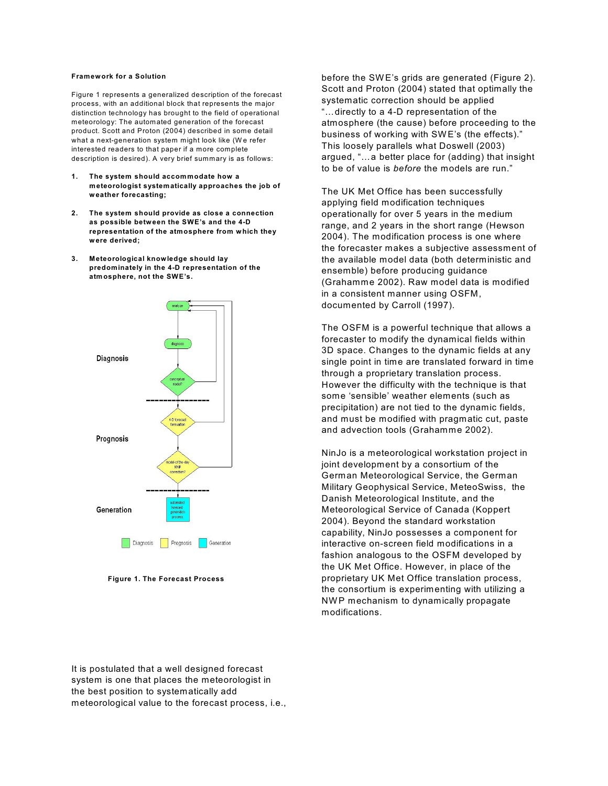#### **Framework for a Solution**

Figure 1 represents a generalized description of the forecast process, with an additional block that represents the major distinction technology has brought to the field of operational meteorology: The automated generation of the forecast product. Scott and Proton (2004) described in some detail what a next-generation system might look like (W e refer interested readers to that paper if a more complete description is desired). A very brief summary is as follows:

- **1. The system should accommodate how a meteorologist systematically approaches the job of weather forecasting;**
- **2. The system should provide as close a connection as possible between the SWE's and the 4-D representation of the atmosphere from which they were derived;**
- **3. Meteorological knowledge should lay predominately in the 4-D representation of the atmosphere, not the SWE's.**



 **Figure 1. The Forecast Process**

before the SW E's grids are generated (Figure 2). Scott and Proton (2004) stated that optimally the systematic correction should be applied "…directly to a 4-D representation of the atmosphere (the cause) before proceeding to the business of working with SW E's (the effects)." This loosely parallels what Doswell (2003) argued, "…a better place for (adding) that insight to be of value is *before* the models are run."

The UK Met Office has been successfully applying field modification techniques operationally for over 5 years in the medium range, and 2 years in the short range (Hewson 2004). The modification process is one where the forecaster makes a subjective assessment of the available model data (both deterministic and ensemble) before producing guidance (Grahamme 2002). Raw model data is modified in a consistent manner using OSFM, documented by Carroll (1997).

The OSFM is a powerful technique that allows a forecaster to modify the dynamical fields within 3D space. Changes to the dynamic fields at any single point in time are translated forward in time through a proprietary translation process. However the difficulty with the technique is that some 'sensible' weather elements (such as precipitation) are not tied to the dynamic fields, and must be modified with pragmatic cut, paste and advection tools (Grahamme 2002).

NinJo is a meteorological workstation project in joint development by a consortium of the German Meteorological Service, the German Military Geophysical Service, MeteoSwiss, the Danish Meteorological Institute, and the Meteorological Service of Canada (Koppert 2004). Beyond the standard workstation capability, NinJo possesses a component for interactive on-screen field modifications in a fashion analogous to the OSFM developed by the UK Met Office. However, in place of the proprietary UK Met Office translation process, the consortium is experimenting with utilizing a NW P mechanism to dynamically propagate modifications.

It is postulated that a well designed forecast system is one that places the meteorologist in the best position to systematically add meteorological value to the forecast process, i.e.,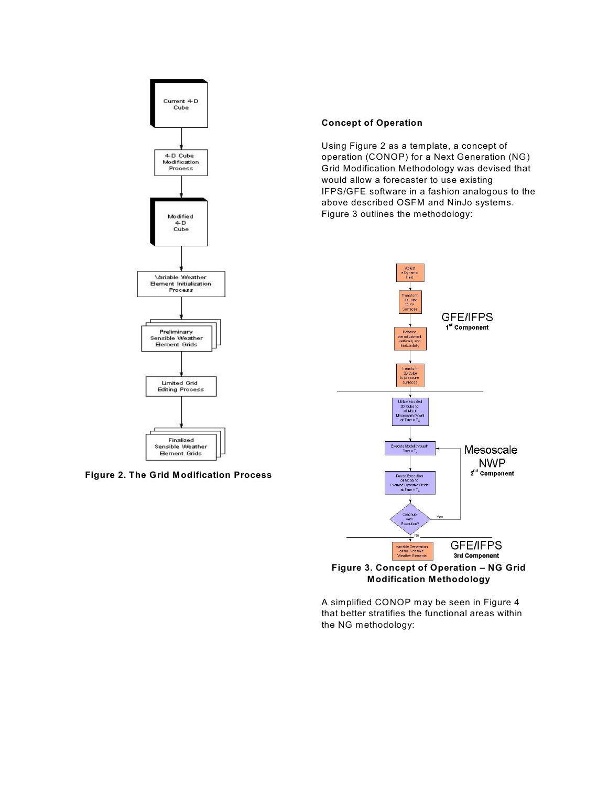



## **Concept of Operation**

Using Figure 2 as a template, a concept of operation (CONOP) for a Next Generation (NG) Grid Modification Methodology was devised that would allow a forecaster to use existing IFPS/GFE software in a fashion analogous to the above described OSFM and NinJo systems. Figure 3 outlines the methodology:



**Figure 3. Concept of Operation – NG Grid Modification Methodology**

A simplified CONOP may be seen in Figure 4 that better stratifies the functional areas within the NG methodology: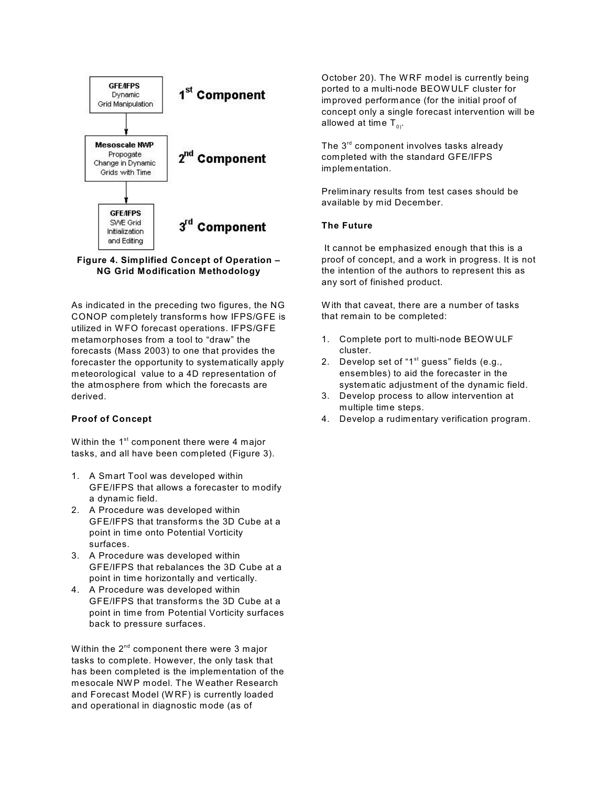



As indicated in the preceding two figures, the NG CONOP completely transforms how IFPS/GFE is utilized in W FO forecast operations. IFPS/GFE metamorphoses from a tool to "draw" the forecasts (Mass 2003) to one that provides the forecaster the opportunity to systematically apply meteorological value to a 4D representation of the atmosphere from which the forecasts are derived.

## **Proof of Concept**

Within the  $1<sup>st</sup>$  component there were 4 major tasks, and all have been completed (Figure 3).

- 1. A Smart Tool was developed within GFE/IFPS that allows a forecaster to modify a dynamic field.
- 2. A Procedure was developed within GFE/IFPS that transforms the 3D Cube at a point in time onto Potential Vorticity surfaces.
- 3. A Procedure was developed within GFE/IFPS that rebalances the 3D Cube at a point in time horizontally and vertically.
- 4. A Procedure was developed within GFE/IFPS that transforms the 3D Cube at a point in time from Potential Vorticity surfaces back to pressure surfaces.

Within the  $2^{nd}$  component there were 3 major tasks to complete. However, the only task that has been completed is the implementation of the mesocale NW P model. The Weather Research and Forecast Model (W RF) is currently loaded and operational in diagnostic mode (as of

October 20). The WRF model is currently being ported to a multi-node BEOW ULF cluster for improved performance (for the initial proof of concept only a single forecast intervention will be allowed at time  $T_{0}$ .

The  $3<sup>rd</sup>$  component involves tasks already completed with the standard GFE/IFPS implementation.

Preliminary results from test cases should be available by mid December.

### **The Future**

 It cannot be emphasized enough that this is a proof of concept, and a work in progress. It is not the intention of the authors to represent this as any sort of finished product.

W ith that caveat, there are a number of tasks that remain to be completed:

- 1. Complete port to multi-node BEOW ULF cluster.
- 2. Develop set of "1<sup>st</sup> guess" fields (e.g., ensembles) to aid the forecaster in the systematic adjustment of the dynamic field.
- 3. Develop process to allow intervention at multiple time steps.
- 4. Develop a rudimentary verification program.